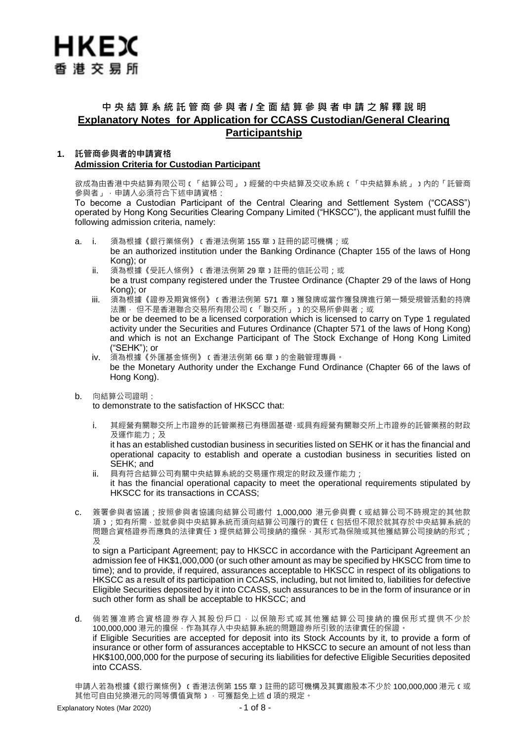# 中 央 結 算 系 統 託 管 商 參 與 者 / 全 面 結 算 參 與 者 申 請 之 解 釋 說 明 **Explanatory Notes for Application for CCASS Custodian/General Clearing Participantship**

### **1. 託管商參與者的申請資格 Admission Criteria for Custodian Participant**

欲成為由香港中央結算有限公司﹝「結算公司」﹞經營的中央結算及交收系統﹝「中央結算系統」﹞內的「託管商 參與者」,申請人必須符合下述申請資格:

To become a Custodian Participant of the Central Clearing and Settlement System ("CCASS") operated by Hong Kong Securities Clearing Company Limited ("HKSCC"), the applicant must fulfill the following admission criteria, namely:

- a. i. 須為根據《銀行業條例》﹝香港法例第 155 章﹞註冊的認可機構;或 be an authorized institution under the Banking Ordinance (Chapter 155 of the laws of Hong Kong); or
	- ii. 須為根據《受託人條例》﹝香港法例第 29 章﹞註冊的信託公司;或 be a trust company registered under the Trustee Ordinance (Chapter 29 of the laws of Hong Kong); or
	- iii. 須為根據《證券及期貨條例》﹝香港法例第 571 章﹞獲發牌或當作獲發牌進行第一類受規管活動的持牌 法團, 但不是香港聯合交易所有限公司(「聯交所」)的交易所參與者;或 be or be deemed to be a licensed corporation which is licensed to carry on Type 1 regulated activity under the Securities and Futures Ordinance (Chapter 571 of the laws of Hong Kong) and which is not an Exchange Participant of The Stock Exchange of Hong Kong Limited
	- ("SEHK"); or iv. 須為根據《外匯基金條例》﹝香港法例第 66 章﹞的金融管理專員。 be the Monetary Authority under the Exchange Fund Ordinance (Chapter 66 of the laws of Hong Kong).
- b. 向結算公司證明:

to demonstrate to the satisfaction of HKSCC that:

i. 其經營有關聯交所上市證券的託管業務已有穩固基礎,或具有經營有關聯交所上市證券的託管業務的財政 及運作能力;及

it has an established custodian business in securities listed on SEHK or it has the financial and operational capacity to establish and operate a custodian business in securities listed on SEHK; and

- ii. 具有符合結算公司有關中央結算系統的交易運作規定的財政及運作能力; it has the financial operational capacity to meet the operational requirements stipulated by HKSCC for its transactions in CCASS;
- c. 簽署參與者協議;按照參與者協議向結算公司繳付 1,000,000 港元參與費﹝或結算公司不時規定的其他款 項﹞;如有所需,並就參與中央結算系統而須向結算公司履行的責任﹝包括但不限於就其存於中央結算系統的 問題合資格證券而應負的法律責任)提供結算公司接納的擔保,其形式為保險或其他獲結算公司接納的形式; 及

to sign a Participant Agreement; pay to HKSCC in accordance with the Participant Agreement an admission fee of HK\$1,000,000 (or such other amount as may be specified by HKSCC from time to time); and to provide, if required, assurances acceptable to HKSCC in respect of its obligations to HKSCC as a result of its participation in CCASS, including, but not limited to, liabilities for defective Eligible Securities deposited by it into CCASS, such assurances to be in the form of insurance or in such other form as shall be acceptable to HKSCC; and

d. 倘若獲准將合資格證券存入其股份戶口,以保險形式或其他獲結算公司接納的擔保形式提供不少於 100,000,000 港元的擔保,作為其存入中央結算系統的問題證券所引致的法律責任的保證。 if Eligible Securities are accepted for deposit into its Stock Accounts by it, to provide a form of insurance or other form of assurances acceptable to HKSCC to secure an amount of not less than HK\$100,000,000 for the purpose of securing its liabilities for defective Eligible Securities deposited into CCASS.

申請人若為根據《銀行業條例》﹝香港法例第 155 章﹞註冊的認可機構及其實繳股本不少於 100,000,000 港元﹝或 其他可自由兌換港元的同等價值貨幣),可獲豁免上述 d 項的規定。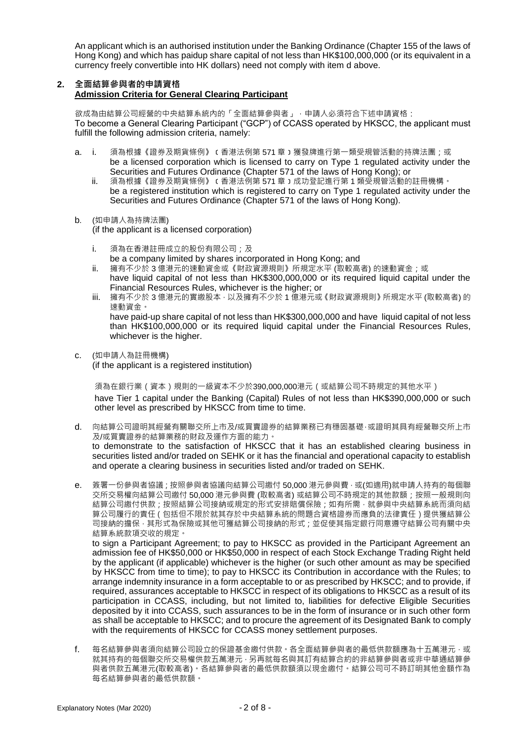An applicant which is an authorised institution under the Banking Ordinance (Chapter 155 of the laws of Hong Kong) and which has paidup share capital of not less than HK\$100,000,000 (or its equivalent in a currency freely convertible into HK dollars) need not comply with item d above.

### **2. 全面結算參與者的申請資格 Admission Criteria for General Clearing Participant**

欲成為由結算公司經營的中央結算系統內的「全面結算參與者」,申請人必須符合下述申請資格: To become a General Clearing Participant ("GCP") of CCASS operated by HKSCC, the applicant must fulfill the following admission criteria, namely:

- a. i. 須為根據《證券及期貨條例》 c 香港法例第 571 章 ) 獲發牌進行第一類受規管活動的持牌法團;或 be a licensed corporation which is licensed to carry on Type 1 regulated activity under the Securities and Futures Ordinance (Chapter 571 of the laws of Hong Kong); or
	- ii. 須為根據《證券及期貨條例》﹝香港法例第 571 章﹞成功登記進行第 1 類受規管活動的註冊機構。 be a registered institution which is registered to carry on Type 1 regulated activity under the Securities and Futures Ordinance (Chapter 571 of the laws of Hong Kong).

### b. (如申請人為持牌法團)

(if the applicant is a licensed corporation)

- i. 須為在香港註冊成立的股份有限公司;及 be a company limited by shares incorporated in Hong Kong; and
- ii. 擁有不少於 3 億港元的速動資金或《財政資源規則》所規定水平 (取較高者) 的速動資金;或 have liquid capital of not less than HK\$300,000,000 or its required liquid capital under the
- Financial Resources Rules, whichever is the higher; or iii. 擁有不少於 3 億港元的實繳股本,以及擁有不少於 1 億港元或《財政資源規則》所規定水平 (取較高者) 的 速動資金。 have paid-up share capital of not less than HK\$300,000,000 and have liquid capital of not less than HK\$100,000,000 or its required liquid capital under the Financial Resources Rules, whichever is the higher.
- c. (如申請人為註冊機構)

(if the applicant is a registered institution)

須為在銀行業(資本)規則的一級資本不少於390,000,000港元(或結算公司不時規定的其他水平) have Tier 1 capital under the Banking (Capital) Rules of not less than HK\$390,000,000 or such other level as prescribed by HKSCC from time to time.

- d. 向結算公司證明其經營有關聯交所上市及/或買賣證券的結算業務已有穩固基礎,或證明其具有經營聯交所上市 及/或買賣證券的結算業務的財政及運作方面的能力 to demonstrate to the satisfaction of HKSCC that it has an established clearing business in securities listed and/or traded on SEHK or it has the financial and operational capacity to establish and operate a clearing business in securities listed and/or traded on SEHK.
- e. 簽署一份參與者協議;按照參與者協議向結算公司繳付 50,000 港元參與費 ·或(如適用)就申請人持有的每個聯 交所交易權向結算公司繳付 50,000 港元參與費 (取較高者) 或結算公司不時規定的其他款額;按照一般規則向 結算公司繳付供款;按照結算公司接納或規定的形式安排賠償保險;如有所需,就參與中央結算系統而須向結 算公司履行的責任(包括但不限於就其存於中央結算系統的問題合資格證券而應負的法律責任)提供獲結算公 司接納的擔保,其形式為保險或其他可獲結算公司接納的形式;並促使其指定銀行同意遵守結算公司有關中央 結算系統款項交收的規定。

to sign a Participant Agreement; to pay to HKSCC as provided in the Participant Agreement an admission fee of HK\$50,000 or HK\$50,000 in respect of each Stock Exchange Trading Right held by the applicant (if applicable) whichever is the higher (or such other amount as may be specified by HKSCC from time to time); to pay to HKSCC its Contribution in accordance with the Rules; to arrange indemnity insurance in a form acceptable to or as prescribed by HKSCC; and to provide, if required, assurances acceptable to HKSCC in respect of its obligations to HKSCC as a result of its participation in CCASS, including, but not limited to, liabilities for defective Eligible Securities deposited by it into CCASS, such assurances to be in the form of insurance or in such other form as shall be acceptable to HKSCC; and to procure the agreement of its Designated Bank to comply with the requirements of HKSCC for CCASS money settlement purposes.

f. 每名結算參與者須向結算公司設立的保證基金繳付供款。各全面結算參與者的最低供款額應為十五萬港元,或 就其持有的每個聯交所交易權供款五萬港元,另再就每名與其訂有結算合約的非結算參與者或非中華通結算參 與者供款五萬港元(取較高者)。各結算參與者的最低供款額須以現金繳付。結算公司可不時訂明其他金額作為 每名結算參與者的最低供款額。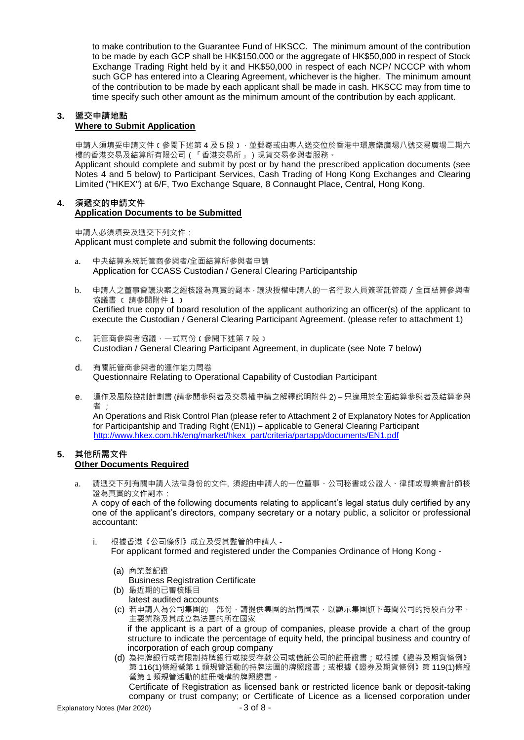to make contribution to the Guarantee Fund of HKSCC. The minimum amount of the contribution to be made by each GCP shall be HK\$150,000 or the aggregate of HK\$50,000 in respect of Stock Exchange Trading Right held by it and HK\$50,000 in respect of each NCP/ NCCCP with whom such GCP has entered into a Clearing Agreement, whichever is the higher. The minimum amount of the contribution to be made by each applicant shall be made in cash. HKSCC may from time to time specify such other amount as the minimum amount of the contribution by each applicant.

#### **3. 遞交申請地點 Where to Submit Application**

申請人須填妥申請文件﹝參閱下述第 4 及 5 段﹞,並郵寄或由專人送交位於香港中環康樂廣場八號交易廣場二期六 樓的香港交易及結算所有限公司(「香港交易所」)現貨交易參與者服務。

Applicant should complete and submit by post or by hand the prescribed application documents (see Notes 4 and 5 below) to Participant Services, Cash Trading of Hong Kong Exchanges and Clearing Limited ("HKEX") at 6/F, Two Exchange Square, 8 Connaught Place, Central, Hong Kong.

#### **4. 須遞交的申請文件 Application Documents to be Submitted**

申請人必須填妥及遞交下列文件: Applicant must complete and submit the following documents:

- a. 中央結算系統託管商參與者/全面結算所參與者申請 Application for CCASS Custodian / General Clearing Participantship
- b. 申請人之董事會議決案之經核證為真實的副本,議決授權申請人的一名行政人員簽署託管商/全面結算參與者 協議書 ﹝ 請參閱附件 1 ﹞ Certified true copy of board resolution of the applicant authorizing an officer(s) of the applicant to execute the Custodian / General Clearing Participant Agreement. (please refer to attachment 1)
- c. 託管商參與者協議,一式兩份﹝參閱下述第 7 段﹞ Custodian / General Clearing Participant Agreement, in duplicate (see Note 7 below)
- d. 有關託管商參與者的運作能力問卷 Questionnaire Relating to Operational Capability of Custodian Participant
- e. 運作及風險控制計劃書 (請參閱參與者及交易權申請之解釋說明附件 2) 只適用於全面結算參與者及結算參與 者 ;

An Operations and Risk Control Plan (please refer to Attachment 2 of Explanatory Notes for Application for Participantship and Trading Right (EN1)) – applicable to General Clearing Participant [http://www.hkex.com.hk/eng/market/hkex\\_part/criteria/partapp/documents/EN1.pdf](http://www.hkex.com.hk/eng/market/hkex_part/criteria/partapp/documents/EN1.pdf)

### **5. 其他所需文件 Other Documents Required**

a. 請遞交下列有關申請人法律身份的文件, 須經由申請人的一位董事、公司秘書或公證人、律師或專業會計師核 證為真實的文件副本:

A copy of each of the following documents relating to applicant's legal status duly certified by any one of the applicant's directors, company secretary or a notary public, a solicitor or professional accountant:

- i. 根據香港《公司條例》成立及受其監管的申請人
	- For applicant formed and registered under the Companies Ordinance of Hong Kong -

### (a) 商業登記證

- Business Registration Certificate
- (b) 最近期的已審核賬目 latest audited accounts
- (c) 若申請人為公司集團的一部份,請提供集團的結構圖表,以顯示集團旗下每間公司的持股百分率、 主要業務及其成立為法團的所在國家

if the applicant is a part of a group of companies, please provide a chart of the group structure to indicate the percentage of equity held, the principal business and country of incorporation of each group company

(d) 為持牌銀行或有限制持牌銀行或接受存款公司或信託公司的註冊證書;或根據《證券及期貨條例》 第 116(1)條經營第 1 類規管活動的持牌法團的牌照證書;或根據《證券及期貨條例》第 119(1)條經 營第 1 類規管活動的註冊機構的牌照證書。

Certificate of Registration as licensed bank or restricted licence bank or deposit-taking company or trust company; or Certificate of Licence as a licensed corporation under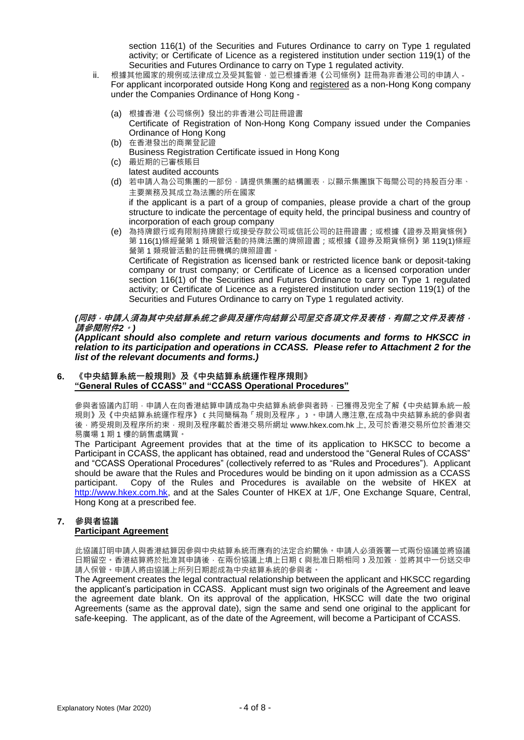section 116(1) of the Securities and Futures Ordinance to carry on Type 1 regulated activity; or Certificate of Licence as a registered institution under section 119(1) of the Securities and Futures Ordinance to carry on Type 1 regulated activity.

- ii. 根據其他國家的規例或法律成立及受其監管,並已根據香港《公司條例》註冊為非香港公司的申請人 For applicant incorporated outside Hong Kong and registered as a non-Hong Kong company under the Companies Ordinance of Hong Kong -
	- (a) 根據香港《公司條例》發出的非香港公司註冊證書
		- Certificate of Registration of Non-Hong Kong Company issued under the Companies Ordinance of Hong Kong
	- (b) 在香港發出的商業登記證 Business Registration Certificate issued in Hong Kong
	- (c) 最近期的已審核賬目
	- latest audited accounts
	- (d) 若申請人為公司集團的一部份,請提供集團的結構圖表,以顯示集團旗下每間公司的持股百分率、 主要業務及其成立為法團的所在國家

if the applicant is a part of a group of companies, please provide a chart of the group structure to indicate the percentage of equity held, the principal business and country of incorporation of each group company

(e) 為持牌銀行或有限制持牌銀行或接受存款公司或信託公司的註冊證書;或根據《證券及期貨條例》 第 116(1)條經營第 1 類規管活動的持牌法團的牌照證書;或根據《證券及期貨條例》第 119(1)條經 營第 1 類規管活動的註冊機構的牌照證書。 Certificate of Registration as licensed bank or restricted licence bank or deposit-taking company or trust company; or Certificate of Licence as a licensed corporation under section 116(1) of the Securities and Futures Ordinance to carry on Type 1 regulated activity; or Certificate of Licence as a registered institution under section 119(1) of the Securities and Futures Ordinance to carry on Type 1 regulated activity.

*(***同時,申請人須為其中央結算系統之參與及運作向結算公司呈交各項文件及表格,有關之文件及表格, 請參閱附件***2***。***)*

*(Applicant should also complete and return various documents and forms to HKSCC in relation to its participation and operations in CCASS. Please refer to Attachment 2 for the list of the relevant documents and forms.)*

### **6. 《中央結算系統一般規則》及《中央結算系統運作程序規則》 "General Rules of CCASS" and "CCASS Operational Procedures"**

參與者協議內訂明,申請人在向香港結算申請成為中央結算系統參與者時,已獲得及完全了解《中央結算系統一般 規則》及《中央結算系統運作程序》﹝共同簡稱為「規則及程序」﹞。申請人應注意,在成為中央結算系統的參與者 後,將受規則及程序所約束,規則及程序載於香港交易所網址 www.hkex.com.hk 上, 及可於香港交易所位於香港交 易廣場 1 期 1 樓的銷售處購買。

The Participant Agreement provides that at the time of its application to HKSCC to become a Participant in CCASS, the applicant has obtained, read and understood the "General Rules of CCASS" and "CCASS Operational Procedures" (collectively referred to as "Rules and Procedures"). Applicant should be aware that the Rules and Procedures would be binding on it upon admission as a CCASS participant. Copy of the Rules and Procedures is available on the website of HKEX at [http://www.hkex.com.hk,](http://www.hkex.com.hk/) and at the Sales Counter of HKEX at 1/F, One Exchange Square, Central, Hong Kong at a prescribed fee.

### **7. 參與者協議 Participant Agreement**

此協議訂明申請人與香港結算因參與中央結算系統而應有的法定合約關係。申請人必須簽署一式兩份協議並將協議 日期留空。香港結算將於批准其申請後,在兩份協議上填上日期(與批准日期相同)及加簽,並將其中一份送交申 請人保管。申請人將由協議上所列日期起成為中央結算系統的參與者。

The Agreement creates the legal contractual relationship between the applicant and HKSCC regarding the applicant's participation in CCASS. Applicant must sign two originals of the Agreement and leave the agreement date blank. On its approval of the application, HKSCC will date the two original Agreements (same as the approval date), sign the same and send one original to the applicant for safe-keeping. The applicant, as of the date of the Agreement, will become a Participant of CCASS.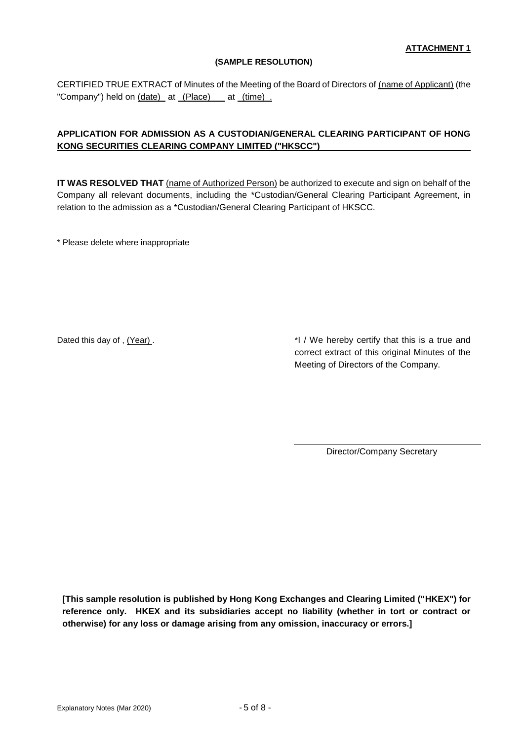## **(SAMPLE RESOLUTION)**

CERTIFIED TRUE EXTRACT of Minutes of the Meeting of the Board of Directors of (name of Applicant) (the "Company") held on (date) at (Place) at (time).

# **APPLICATION FOR ADMISSION AS A CUSTODIAN/GENERAL CLEARING PARTICIPANT OF HONG KONG SECURITIES CLEARING COMPANY LIMITED ("HKSCC")**

**IT WAS RESOLVED THAT** (name of Authorized Person) be authorized to execute and sign on behalf of the Company all relevant documents, including the \*Custodian/General Clearing Participant Agreement, in relation to the admission as a \*Custodian/General Clearing Participant of HKSCC.

\* Please delete where inappropriate

Dated this day of , (Year) . The same of the same state of the Mereby certify that this is a true and correct extract of this original Minutes of the Meeting of Directors of the Company.

Director/Company Secretary

**[This sample resolution is published by Hong Kong Exchanges and Clearing Limited ("HKEX") for reference only. HKEX and its subsidiaries accept no liability (whether in tort or contract or otherwise) for any loss or damage arising from any omission, inaccuracy or errors.]**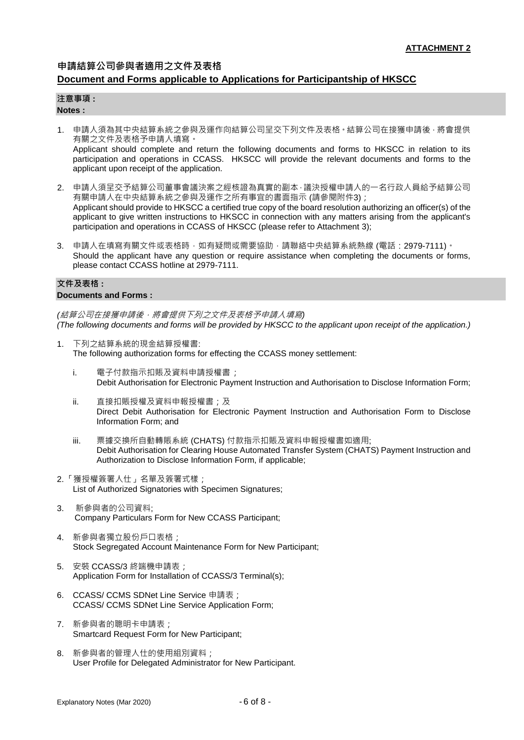### **申請結算公司參與者適用之文件及表格**

## **Document and Forms applicable to Applications for Participantship of HKSCC**

### **注意事項 :**

### **Notes :**

1. 申請人須為其中央結算系統之參與及運作向結算公司呈交下列文件及表格。結算公司在接獲申請後,將會提供 有關之文件及表格予申請人填寫。 Applicant should complete and return the following documents and forms to HKSCC in relation to its

participation and operations in CCASS. HKSCC will provide the relevant documents and forms to the applicant upon receipt of the application.

- 2. 申請人須呈交予結算公司董事會議決案之經核證為真實的副本,議決授權申請人的一名行政人員給予結算公司 有關申請人在中央結算系統之參與及運作之所有事宜的書面指示 (請參閱附件3); Applicant should provide to HKSCC a certified true copy of the board resolution authorizing an officer(s) of the applicant to give written instructions to HKSCC in connection with any matters arising from the applicant's participation and operations in CCASS of HKSCC (please refer to Attachment 3);
- 3. 申請人在填寫有關文件或表格時,如有疑問或需要協助,請聯絡中央結算系統熱線 (電話: 2979-7111)。 Should the applicant have any question or require assistance when completing the documents or forms, please contact CCASS hotline at 2979-7111.

#### **文件及表格 : Documents and Forms :**

*(*結算公司在接獲申請後,將會提供下列之文件及表格予申請人填寫*) (The following documents and forms will be provided by HKSCC to the applicant upon receipt of the application.)*

- 1. 下列之結算系統的現金結算授權書: The following authorization forms for effecting the CCASS money settlement:
	- i. 電子付款指示扣賬及資料申請授權書; Debit Authorisation for Electronic Payment Instruction and Authorisation to Disclose Information Form;
	- ii. 直接扣賬授權及資料申報授權書;及 Direct Debit Authorisation for Electronic Payment Instruction and Authorisation Form to Disclose Information Form; and
	- iii. 票據交換所自動轉賬系統 (CHATS) 付款指示扣賬及資料申報授權書如適用; Debit Authorisation for Clearing House Automated Transfer System (CHATS) Payment Instruction and Authorization to Disclose Information Form, if applicable;
- 2.「獲授權簽署人仕」名單及簽署式樣; List of Authorized Signatories with Specimen Signatures;
- 3. 新參與者的公司資料; Company Particulars Form for New CCASS Participant;
- 4. 新參與者獨立股份戶口表格; Stock Segregated Account Maintenance Form for New Participant;
- 5. 安裝 CCASS/3 終端機申請表; Application Form for Installation of CCASS/3 Terminal(s);
- 6. CCASS/ CCMS SDNet Line Service 申請表; CCASS/ CCMS SDNet Line Service Application Form;
- 7. 新參與者的聰明卡申請表; Smartcard Request Form for New Participant;
- 8. 新參與者的管理人仕的使用組別資料; User Profile for Delegated Administrator for New Participant.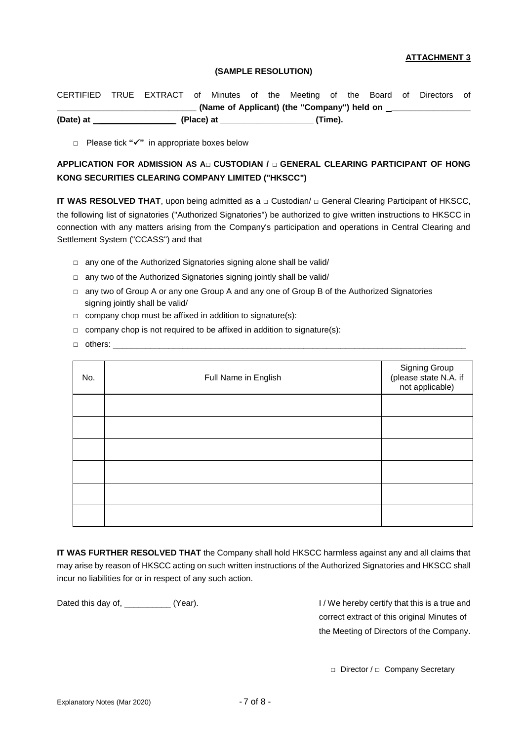### **ATTACHMENT 3**

#### **(SAMPLE RESOLUTION)**

| (Date) at |                 | (Place) at |                |  |                                             | (Time). |  |                                      |  |
|-----------|-----------------|------------|----------------|--|---------------------------------------------|---------|--|--------------------------------------|--|
|           |                 |            |                |  | (Name of Applicant) (the "Company") held on |         |  |                                      |  |
| CERTIFIED | TRUE EXTRACT of |            | Minutes of the |  |                                             |         |  | Meeting of the Board of Directors of |  |

**□** Please tick **""** in appropriate boxes below

# **APPLICATION FOR ADMISSION AS A□ CUSTODIAN / □ GENERAL CLEARING PARTICIPANT OF HONG KONG SECURITIES CLEARING COMPANY LIMITED ("HKSCC")**

**IT WAS RESOLVED THAT**, upon being admitted as a **□** Custodian/ **□** General Clearing Participant of HKSCC, the following list of signatories ("Authorized Signatories") be authorized to give written instructions to HKSCC in connection with any matters arising from the Company's participation and operations in Central Clearing and Settlement System ("CCASS") and that

- **□** any one of the Authorized Signatories signing alone shall be valid/
- **□** any two of the Authorized Signatories signing jointly shall be valid/
- **□** any two of Group A or any one Group A and any one of Group B of the Authorized Signatories signing jointly shall be valid/
- **□** company chop must be affixed in addition to signature(s):
- **□** company chop is not required to be affixed in addition to signature(s):
- **□** others: \_\_\_\_\_\_\_\_\_\_\_\_\_\_\_\_\_\_\_\_\_\_\_\_\_\_\_\_\_\_\_\_\_\_\_\_\_\_\_\_\_\_\_\_\_\_\_\_\_\_\_\_\_\_\_\_\_\_\_\_\_\_\_\_\_\_\_\_\_\_\_\_\_\_\_\_

| No. | Full Name in English | Signing Group<br>(please state N.A. if<br>not applicable) |  |  |
|-----|----------------------|-----------------------------------------------------------|--|--|
|     |                      |                                                           |  |  |
|     |                      |                                                           |  |  |
|     |                      |                                                           |  |  |
|     |                      |                                                           |  |  |
|     |                      |                                                           |  |  |
|     |                      |                                                           |  |  |

**IT WAS FURTHER RESOLVED THAT** the Company shall hold HKSCC harmless against any and all claims that may arise by reason of HKSCC acting on such written instructions of the Authorized Signatories and HKSCC shall incur no liabilities for or in respect of any such action.

Dated this day of, \_\_\_\_\_\_\_\_\_\_ (Year). The example of the latter in the local distribution of the latter and correct extract of this original Minutes of the Meeting of Directors of the Company.

□ Director / □ Company Secretary